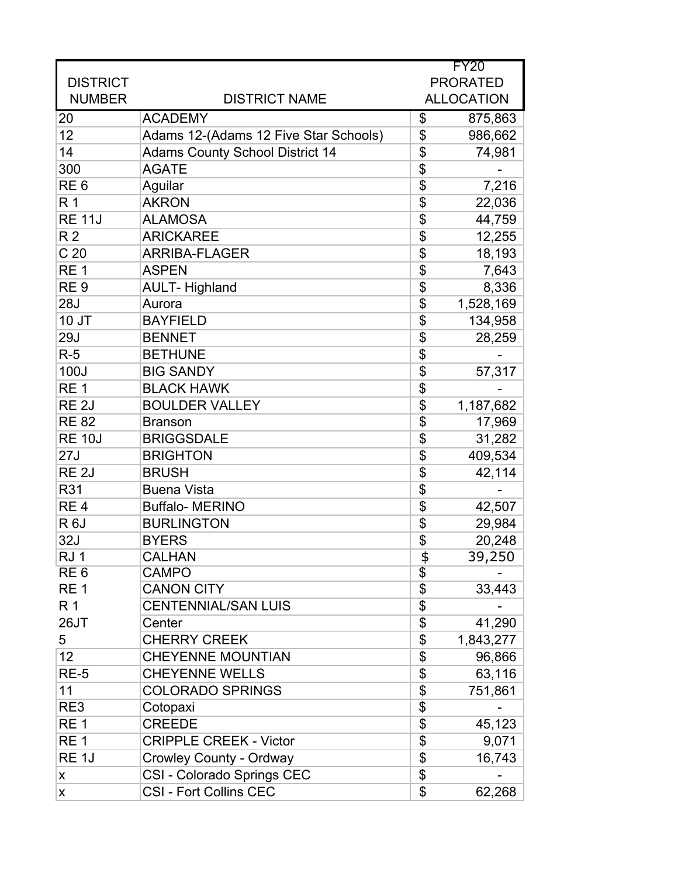|                   |                                        | FY20             |                   |
|-------------------|----------------------------------------|------------------|-------------------|
| <b>DISTRICT</b>   |                                        | <b>PRORATED</b>  |                   |
| <b>NUMBER</b>     | <b>DISTRICT NAME</b>                   |                  | <b>ALLOCATION</b> |
| 20                | <b>ACADEMY</b>                         | \$               | 875,863           |
| 12                | Adams 12-(Adams 12 Five Star Schools)  | \$               | 986,662           |
| 14                | <b>Adams County School District 14</b> | \$               | 74,981            |
| 300               | <b>AGATE</b>                           | $\overline{\$}$  |                   |
| RE <sub>6</sub>   | Aguilar                                | \$               | 7,216             |
| R <sub>1</sub>    | <b>AKRON</b>                           | \$               | 22,036            |
| <b>RE 11J</b>     | <b>ALAMOSA</b>                         | \$               | 44,759            |
| R <sub>2</sub>    | <b>ARICKAREE</b>                       | \$               | 12,255            |
| C <sub>20</sub>   | <b>ARRIBA-FLAGER</b>                   | $\overline{\$}$  | 18,193            |
| RE <sub>1</sub>   | <b>ASPEN</b>                           | \$               | 7,643             |
| RE <sub>9</sub>   | <b>AULT-Highland</b>                   | \$               | 8,336             |
| <b>28J</b>        | Aurora                                 | \$               | 1,528,169         |
| 10 JT             | <b>BAYFIELD</b>                        | \$               | 134,958           |
| <b>29J</b>        | <b>BENNET</b>                          | \$               | 28,259            |
| $R-5$             | <b>BETHUNE</b>                         | \$               |                   |
| 100J              | <b>BIG SANDY</b>                       | \$               | 57,317            |
| RE <sub>1</sub>   | <b>BLACK HAWK</b>                      | \$               |                   |
| RE <sub>2J</sub>  | <b>BOULDER VALLEY</b>                  | \$               | 1,187,682         |
| <b>RE 82</b>      | <b>Branson</b>                         | \$               | 17,969            |
| <b>RE 10J</b>     | <b>BRIGGSDALE</b>                      | \$               | 31,282            |
| 27J               | <b>BRIGHTON</b>                        | \$               | 409,534           |
| RE <sub>2J</sub>  | <b>BRUSH</b>                           | \$               | 42,114            |
| R31               | <b>Buena Vista</b>                     | \$               |                   |
| RE <sub>4</sub>   | <b>Buffalo- MERINO</b>                 | \$               | 42,507            |
| R <sub>6</sub> J  | <b>BURLINGTON</b>                      | \$               | 29,984            |
| 32J               | <b>BYERS</b>                           | \$               | 20,248            |
| RJ1               | <b>CALHAN</b>                          | $\frac{1}{\Phi}$ | 39,250            |
| RE <sub>6</sub>   | <b>CAMPO</b>                           | $\overline{\$}$  |                   |
| RE <sub>1</sub>   | <b>CANON CITY</b>                      | \$               | 33,443            |
| R 1               | <b>CENTENNIAL/SAN LUIS</b>             | \$               |                   |
| 26JT              | Center                                 | \$               | 41,290            |
| 5                 | <b>CHERRY CREEK</b>                    | \$               | 1,843,277         |
| 12                | <b>CHEYENNE MOUNTIAN</b>               | \$               | 96,866            |
| <b>RE-5</b>       | <b>CHEYENNE WELLS</b>                  | \$               | 63,116            |
| 11                | <b>COLORADO SPRINGS</b>                | \$               | 751,861           |
| RE3               | Cotopaxi                               | \$               |                   |
| RE <sub>1</sub>   | <b>CREEDE</b>                          | \$               | 45,123            |
| RE <sub>1</sub>   | <b>CRIPPLE CREEK - Victor</b>          | \$               | 9,071             |
| RE <sub>1</sub> J | <b>Crowley County - Ordway</b>         | \$               | 16,743            |
| X                 | CSI - Colorado Springs CEC             | \$               |                   |
| X                 | <b>CSI - Fort Collins CEC</b>          | \$               | 62,268            |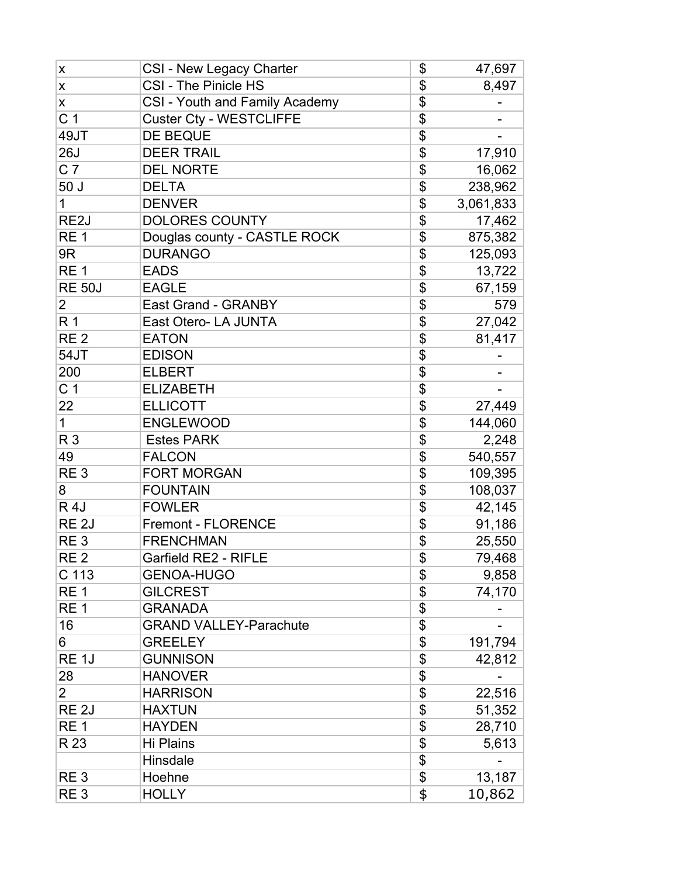| X                 | <b>CSI - New Legacy Charter</b>       | \$                        | 47,697    |
|-------------------|---------------------------------------|---------------------------|-----------|
| X                 | CSI - The Pinicle HS                  | \$                        | 8,497     |
| X                 | <b>CSI - Youth and Family Academy</b> | \$                        |           |
| C <sub>1</sub>    | <b>Custer Cty - WESTCLIFFE</b>        | \$                        |           |
| 49JT              | <b>DE BEQUE</b>                       | \$                        |           |
| <b>26J</b>        | <b>DEER TRAIL</b>                     | \$                        | 17,910    |
| C <sub>7</sub>    | <b>DEL NORTE</b>                      | \$                        | 16,062    |
| 50J               | <b>DELTA</b>                          | \$                        | 238,962   |
| 1                 | <b>DENVER</b>                         | \$                        | 3,061,833 |
| RE <sub>2</sub> J | <b>DOLORES COUNTY</b>                 | \$                        | 17,462    |
| RE <sub>1</sub>   | Douglas county - CASTLE ROCK          | \$                        | 875,382   |
| 9R                | <b>DURANGO</b>                        | \$                        | 125,093   |
| RE <sub>1</sub>   | <b>EADS</b>                           | \$                        | 13,722    |
| <b>RE 50J</b>     | <b>EAGLE</b>                          | \$                        | 67,159    |
| 2                 | <b>East Grand - GRANBY</b>            | \$                        | 579       |
| R <sub>1</sub>    | East Otero- LA JUNTA                  | \$                        | 27,042    |
| RE <sub>2</sub>   | <b>EATON</b>                          | \$                        | 81,417    |
| 54JT              | <b>EDISON</b>                         | $\overline{\mathcal{L}}$  |           |
| 200               | <b>ELBERT</b>                         | \$                        |           |
| C <sub>1</sub>    | <b>ELIZABETH</b>                      | $\overline{\$}$           |           |
| 22                | <b>ELLICOTT</b>                       | \$                        | 27,449    |
| 1                 | <b>ENGLEWOOD</b>                      | \$                        | 144,060   |
| R <sub>3</sub>    | <b>Estes PARK</b>                     | \$                        | 2,248     |
| 49                | <b>FALCON</b>                         | \$                        | 540,557   |
| RE <sub>3</sub>   | <b>FORT MORGAN</b>                    | \$                        | 109,395   |
| 8                 | <b>FOUNTAIN</b>                       | \$                        | 108,037   |
| <b>R4J</b>        | <b>FOWLER</b>                         | \$                        | 42,145    |
| RE <sub>2J</sub>  | <b>Fremont - FLORENCE</b>             | \$                        | 91,186    |
| RE <sub>3</sub>   | <b>FRENCHMAN</b>                      | $\overline{\mathfrak{s}}$ | 25,550    |
| RE <sub>2</sub>   | Garfield RE2 - RIFLE                  | $\overline{\mathbb{S}}$   | 79,468    |
| C 113             | <b>GENOA-HUGO</b>                     | \$                        | 9,858     |
| RE <sub>1</sub>   | <b>GILCREST</b>                       | \$                        | 74,170    |
| RE <sub>1</sub>   | <b>GRANADA</b>                        | \$                        |           |
| 16                | <b>GRAND VALLEY-Parachute</b>         | \$                        |           |
| 6                 | <b>GREELEY</b>                        | \$                        | 191,794   |
| RE <sub>1</sub> J | <b>GUNNISON</b>                       | \$                        | 42,812    |
| 28                | <b>HANOVER</b>                        | \$                        |           |
| $\overline{2}$    | <b>HARRISON</b>                       | \$                        | 22,516    |
| RE <sub>2J</sub>  | <b>HAXTUN</b>                         | \$                        | 51,352    |
| RE <sub>1</sub>   | <b>HAYDEN</b>                         | \$                        | 28,710    |
| R 23              | Hi Plains                             | \$                        | 5,613     |
|                   | Hinsdale                              | \$                        |           |
| RE <sub>3</sub>   | Hoehne                                | \$                        | 13,187    |
| RE <sub>3</sub>   | <b>HOLLY</b>                          | \$                        | 10,862    |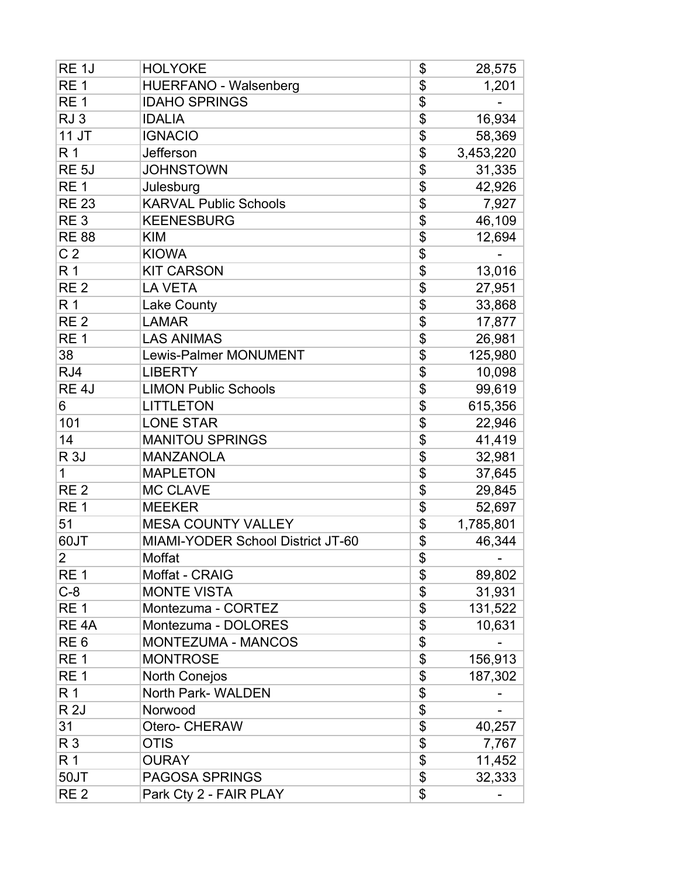| RE <sub>1</sub> J | <b>HOLYOKE</b>                    | \$<br>28,575    |
|-------------------|-----------------------------------|-----------------|
| RE <sub>1</sub>   | <b>HUERFANO - Walsenberg</b>      | \$<br>1,201     |
| RE <sub>1</sub>   | <b>IDAHO SPRINGS</b>              | \$              |
| RJ <sub>3</sub>   | <b>IDALIA</b>                     | \$<br>16,934    |
| 11 JT             | <b>IGNACIO</b>                    | \$<br>58,369    |
| R <sub>1</sub>    | Jefferson                         | \$<br>3,453,220 |
| RE <sub>5</sub> J | <b>JOHNSTOWN</b>                  | \$<br>31,335    |
| RE <sub>1</sub>   | Julesburg                         | \$<br>42,926    |
| <b>RE 23</b>      | <b>KARVAL Public Schools</b>      | \$<br>7,927     |
| RE <sub>3</sub>   | <b>KEENESBURG</b>                 | \$<br>46,109    |
| <b>RE 88</b>      | <b>KIM</b>                        | \$<br>12,694    |
| C <sub>2</sub>    | <b>KIOWA</b>                      | \$              |
| R <sub>1</sub>    | <b>KIT CARSON</b>                 | \$<br>13,016    |
| RE <sub>2</sub>   | <b>LA VETA</b>                    | \$<br>27,951    |
| R <sub>1</sub>    | <b>Lake County</b>                | \$<br>33,868    |
| RE <sub>2</sub>   | <b>LAMAR</b>                      | \$<br>17,877    |
| RE <sub>1</sub>   | <b>LAS ANIMAS</b>                 | \$<br>26,981    |
| 38                | <b>Lewis-Palmer MONUMENT</b>      | \$<br>125,980   |
| RJ4               | <b>LIBERTY</b>                    | \$<br>10,098    |
| RE <sub>4</sub> J | <b>LIMON Public Schools</b>       | \$<br>99,619    |
| 6                 | <b>LITTLETON</b>                  | \$<br>615,356   |
| 101               | <b>LONE STAR</b>                  | \$<br>22,946    |
| 14                | <b>MANITOU SPRINGS</b>            | \$<br>41,419    |
| <b>R3J</b>        | <b>MANZANOLA</b>                  | \$<br>32,981    |
| 1                 | <b>MAPLETON</b>                   | \$<br>37,645    |
| RE <sub>2</sub>   | <b>MC CLAVE</b>                   | \$<br>29,845    |
| RE <sub>1</sub>   | <b>MEEKER</b>                     | \$<br>52,697    |
| 51                | <b>MESA COUNTY VALLEY</b>         | \$<br>1,785,801 |
| 60JT              | MIAMI-YODER School District JT-60 | \$<br>46,344    |
| $\overline{2}$    | Moffat                            | \$              |
| RE <sub>1</sub>   | Moffat - CRAIG                    | \$<br>89,802    |
| $C-8$             | <b>MONTE VISTA</b>                | \$<br>31,931    |
| RE <sub>1</sub>   | Montezuma - CORTEZ                | \$<br>131,522   |
| RE <sub>4</sub> A | Montezuma - DOLORES               | \$<br>10,631    |
| RE <sub>6</sub>   | <b>MONTEZUMA - MANCOS</b>         | \$              |
| RE <sub>1</sub>   | <b>MONTROSE</b>                   | \$<br>156,913   |
| RE <sub>1</sub>   | North Conejos                     | \$<br>187,302   |
| R 1               | North Park- WALDEN                | \$              |
| <b>R2J</b>        | Norwood                           | \$              |
| 31                | Otero- CHERAW                     | \$<br>40,257    |
| R 3               | <b>OTIS</b>                       | \$<br>7,767     |
| R 1               | <b>OURAY</b>                      | \$<br>11,452    |
| 50JT              | <b>PAGOSA SPRINGS</b>             | \$<br>32,333    |
| RE <sub>2</sub>   | Park Cty 2 - FAIR PLAY            | \$              |
|                   |                                   |                 |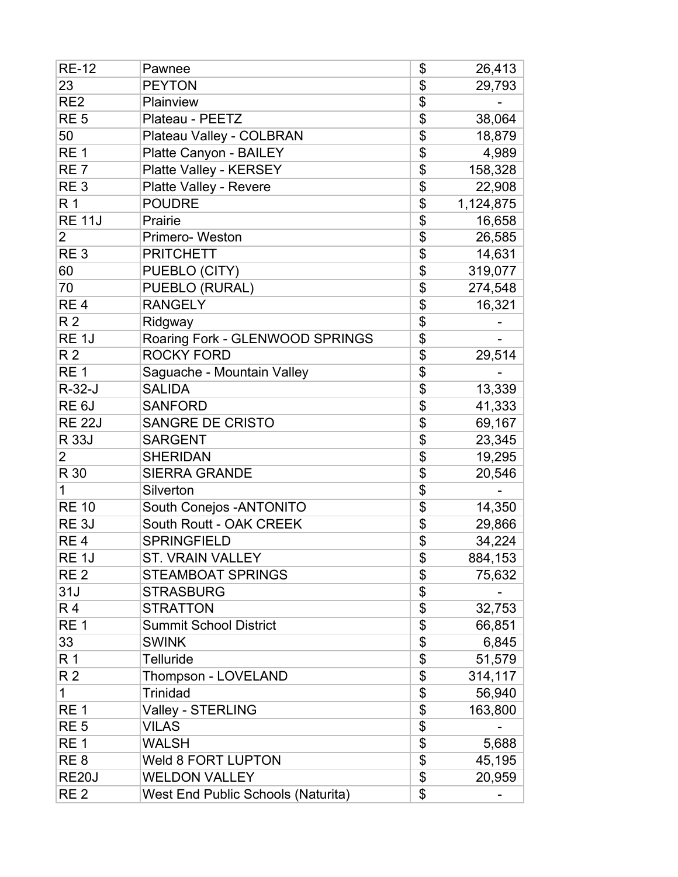| <b>RE-12</b>       | Pawnee                             | \$              | 26,413    |
|--------------------|------------------------------------|-----------------|-----------|
| 23                 | <b>PEYTON</b>                      | \$              | 29,793    |
| RE <sub>2</sub>    | Plainview                          | \$              |           |
| RE <sub>5</sub>    | Plateau - PEETZ                    | \$              | 38,064    |
| 50                 | Plateau Valley - COLBRAN           | \$              | 18,879    |
| RE <sub>1</sub>    | Platte Canyon - BAILEY             | \$              | 4,989     |
| RE <sub>7</sub>    | Platte Valley - KERSEY             | \$              | 158,328   |
| RE <sub>3</sub>    | Platte Valley - Revere             | \$              | 22,908    |
| R <sub>1</sub>     | <b>POUDRE</b>                      | \$              | 1,124,875 |
| <b>RE 11J</b>      | Prairie                            | $\overline{\$}$ | 16,658    |
| $\overline{2}$     | Primero-Weston                     | \$              | 26,585    |
| RE <sub>3</sub>    | <b>PRITCHETT</b>                   | $\overline{\$}$ | 14,631    |
| 60                 | PUEBLO (CITY)                      | \$              | 319,077   |
| 70                 | PUEBLO (RURAL)                     | \$              | 274,548   |
| RE <sub>4</sub>    | <b>RANGELY</b>                     | \$              | 16,321    |
| R <sub>2</sub>     | Ridgway                            | \$              |           |
| RE <sub>1</sub> J  | Roaring Fork - GLENWOOD SPRINGS    | \$              |           |
| R <sub>2</sub>     | <b>ROCKY FORD</b>                  | \$              | 29,514    |
| RE <sub>1</sub>    | Saguache - Mountain Valley         | \$              |           |
| $R-32-J$           | <b>SALIDA</b>                      | \$              | 13,339    |
| RE <sub>6</sub> J  | <b>SANFORD</b>                     | $\overline{\$}$ | 41,333    |
| <b>RE 22J</b>      | <b>SANGRE DE CRISTO</b>            | \$              | 69,167    |
| R 33J              | <b>SARGENT</b>                     | $\overline{\$}$ | 23,345    |
| 2                  | <b>SHERIDAN</b>                    | \$              | 19,295    |
| R 30               | <b>SIERRA GRANDE</b>               | \$              | 20,546    |
| 1                  | Silverton                          | \$              |           |
| <b>RE 10</b>       | South Conejos - ANTONITO           | \$              | 14,350    |
| RE <sub>3</sub> J  | South Routt - OAK CREEK            | \$              | 29,866    |
| RE <sub>4</sub>    | <b>SPRINGFIELD</b>                 | $\overline{\$}$ | 34,224    |
| RE <sub>1</sub> J  | <b>ST. VRAIN VALLEY</b>            | \$              | 884,153   |
| RE <sub>2</sub>    | <b>STEAMBOAT SPRINGS</b>           | \$              | 75,632    |
| 31J                | <b>STRASBURG</b>                   | \$              |           |
| R4                 | <b>STRATTON</b>                    | \$              | 32,753    |
| RE <sub>1</sub>    | <b>Summit School District</b>      | $\overline{\$}$ | 66,851    |
| 33                 | <b>SWINK</b>                       | $\overline{\$}$ | 6,845     |
| R 1                | <b>Telluride</b>                   | \$              | 51,579    |
| R <sub>2</sub>     | Thompson - LOVELAND                | \$              | 314,117   |
| 1                  | <b>Trinidad</b>                    | \$              | 56,940    |
| RE <sub>1</sub>    | Valley - STERLING                  | \$              | 163,800   |
| RE <sub>5</sub>    | <b>VILAS</b>                       | \$              |           |
| RE <sub>1</sub>    | <b>WALSH</b>                       | \$              | 5,688     |
| RE <sub>8</sub>    | Weld 8 FORT LUPTON                 | \$              | 45,195    |
| RE <sub>20</sub> J | <b>WELDON VALLEY</b>               | \$              | 20,959    |
| RE <sub>2</sub>    | West End Public Schools (Naturita) | \$              |           |